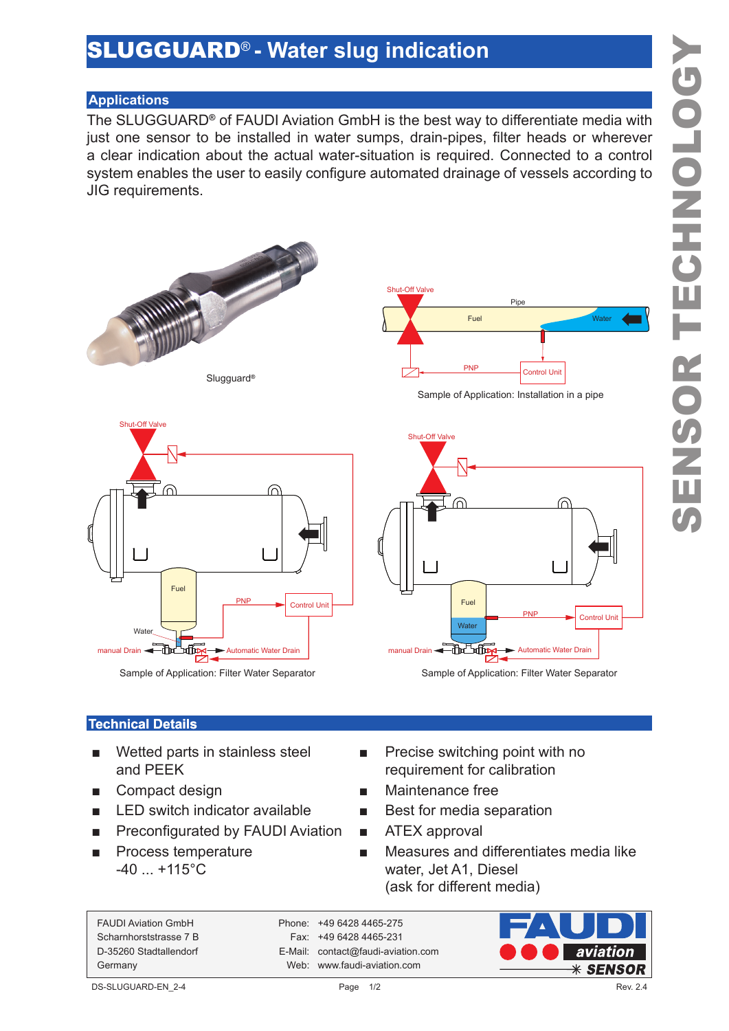## SLUGGUARD® **- Water slug indication**

## **Applications**

The SLUGGUARD**®** of FAUDI Aviation GmbH is the best way to differentiate media with just one sensor to be installed in water sumps, drain-pipes, filter heads or wherever a clear indication about the actual water-situation is required. Connected to a control system enables the user to easily configure automated drainage of vessels according to JIG requirements.



Slugguard**®**



Sample of Application: Filter Water Separator



Sample of Application: Installation in a pipe



Sample of Application: Filter Water Separator

## **Technical Details**

- Wetted parts in stainless steel and PEEK
- 
- LED switch indicator available Best for media separation
- Preconfigurated by FAUDI Aviation ATEX approval
- Process temperature  $-40$  ...  $+115^{\circ}$ C
- Precise switching point with no requirement for calibration
- Compact design Maintenance free
	-
	-
	- Measures and differentiates media like water, Jet A1, Diesel (ask for different media)

FAUDI Aviation GmbH Phone: +49 6428 4465-275

Scharnhorststrasse 7 B Fax: +49 6428 4465-231 D-35260 Stadtallendorf E-Mail: contact@faudi-aviation.com Germany Web: www.faudi-aviation.com